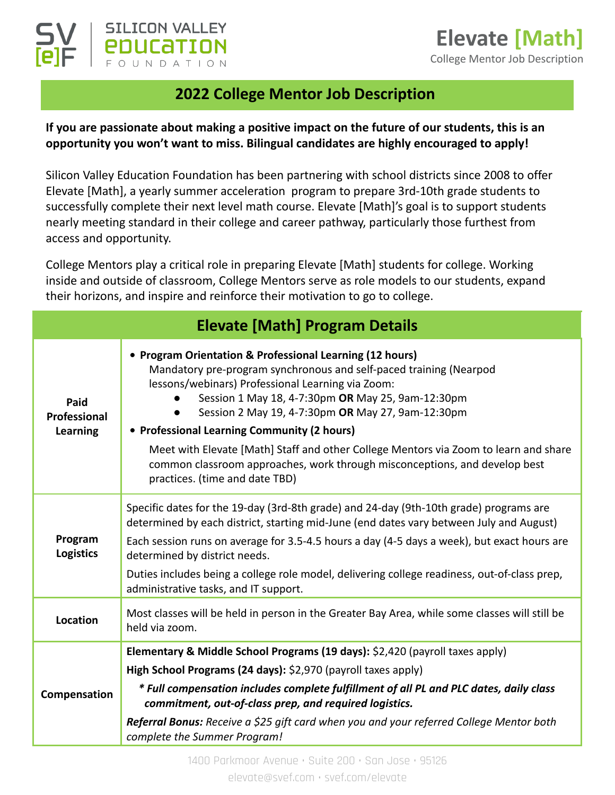College Mentor Job Description

**Elevate [Math]**

## **2022 College Mentor Job Description**

#### **If you are passionate about making a positive impact on the future of our students, this is an opportunity you won't want to miss. Bilingual candidates are highly encouraged to apply!**

**SILICON VALLEY** 

ICATION UNDATION

Silicon Valley Education Foundation has been partnering with school districts since 2008 to offer Elevate [Math], a yearly summer acceleration program to prepare 3rd-10th grade students to successfully complete their next level math course. Elevate [Math]'s goal is to support students nearly meeting standard in their college and career pathway, particularly those furthest from access and opportunity.

College Mentors play a critical role in preparing Elevate [Math] students for college. Working inside and outside of classroom, College Mentors serve as role models to our students, expand their horizons, and inspire and reinforce their motivation to go to college.

| <b>Elevate [Math] Program Details</b>   |                                                                                                                                                                                                                                                                                                                                                                                                                                                                                                                                                      |
|-----------------------------------------|------------------------------------------------------------------------------------------------------------------------------------------------------------------------------------------------------------------------------------------------------------------------------------------------------------------------------------------------------------------------------------------------------------------------------------------------------------------------------------------------------------------------------------------------------|
| Paid<br>Professional<br><b>Learning</b> | • Program Orientation & Professional Learning (12 hours)<br>Mandatory pre-program synchronous and self-paced training (Nearpod<br>lessons/webinars) Professional Learning via Zoom:<br>Session 1 May 18, 4-7:30pm OR May 25, 9am-12:30pm<br>Session 2 May 19, 4-7:30pm OR May 27, 9am-12:30pm<br>• Professional Learning Community (2 hours)<br>Meet with Elevate [Math] Staff and other College Mentors via Zoom to learn and share<br>common classroom approaches, work through misconceptions, and develop best<br>practices. (time and date TBD) |
| Program<br><b>Logistics</b>             | Specific dates for the 19-day (3rd-8th grade) and 24-day (9th-10th grade) programs are<br>determined by each district, starting mid-June (end dates vary between July and August)<br>Each session runs on average for 3.5-4.5 hours a day (4-5 days a week), but exact hours are<br>determined by district needs.<br>Duties includes being a college role model, delivering college readiness, out-of-class prep,<br>administrative tasks, and IT support.                                                                                           |
| <b>Location</b>                         | Most classes will be held in person in the Greater Bay Area, while some classes will still be<br>held via zoom.                                                                                                                                                                                                                                                                                                                                                                                                                                      |
| Compensation                            | Elementary & Middle School Programs (19 days): \$2,420 (payroll taxes apply)<br>High School Programs (24 days): \$2,970 (payroll taxes apply)<br>* Full compensation includes complete fulfillment of all PL and PLC dates, daily class<br>commitment, out-of-class prep, and required logistics.<br>Referral Bonus: Receive a \$25 gift card when you and your referred College Mentor both<br>complete the Summer Program!                                                                                                                         |